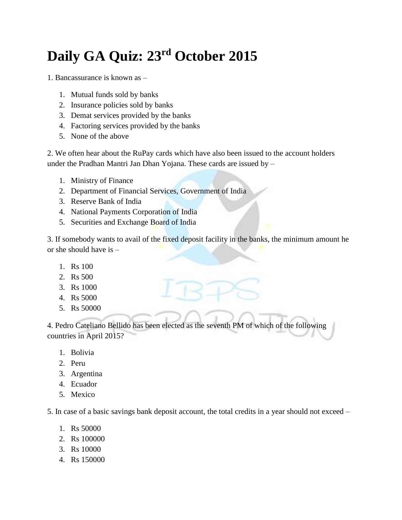## **Daily GA Quiz: 23rd October 2015**

1. Bancassurance is known as –

- 1. Mutual funds sold by banks
- 2. Insurance policies sold by banks
- 3. Demat services provided by the banks
- 4. Factoring services provided by the banks
- 5. None of the above

2. We often hear about the RuPay cards which have also been issued to the account holders under the Pradhan Mantri Jan Dhan Yojana. These cards are issued by –

- 1. Ministry of Finance
- 2. Department of Financial Services, Government of India
- 3. Reserve Bank of India
- 4. National Payments Corporation of India
- 5. Securities and Exchange Board of India

3. If somebody wants to avail of the fixed deposit facility in the banks, the minimum amount he or she should have is –

- 1. Rs 100
- 2. Rs 500
- 3. Rs 1000
- 4. Rs 5000
- 5. Rs 50000

4. Pedro Cateliano Bellido has been elected as the seventh PM of which of the following countries in April 2015?

- 1. Bolivia
- 2. Peru
- 3. Argentina
- 4. Ecuador
- 5. Mexico

5. In case of a basic savings bank deposit account, the total credits in a year should not exceed –

- 1. Rs 50000
- 2. Rs 100000
- 3. Rs 10000
- 4. Rs 150000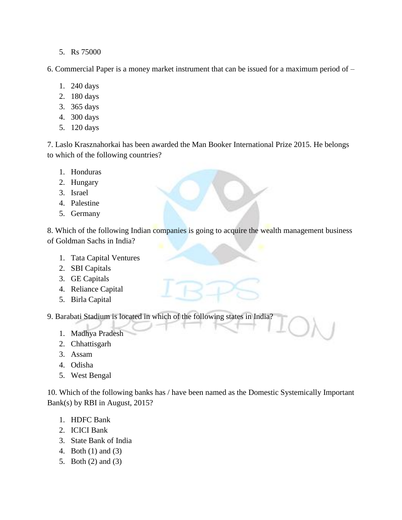5. Rs 75000

6. Commercial Paper is a money market instrument that can be issued for a maximum period of –

- 1. 240 days
- 2. 180 days
- 3. 365 days
- 4. 300 days
- 5. 120 days

7. Laslo Krasznahorkai has been awarded the Man Booker International Prize 2015. He belongs to which of the following countries?

- 1. Honduras
- 2. Hungary
- 3. Israel
- 4. Palestine
- 5. Germany

8. Which of the following Indian companies is going to acquire the wealth management business of Goldman Sachs in India?

- 1. Tata Capital Ventures
- 2. SBI Capitals
- 3. GE Capitals
- 4. Reliance Capital
- 5. Birla Capital

9. Barabati Stadium is located in which of the following states in India?

- 1. Madhya Pradesh
- 2. Chhattisgarh
- 3. Assam
- 4. Odisha
- 5. West Bengal

10. Which of the following banks has / have been named as the Domestic Systemically Important Bank(s) by RBI in August, 2015?

- 1. HDFC Bank
- 2. ICICI Bank
- 3. State Bank of India
- 4. Both (1) and (3)
- 5. Both (2) and (3)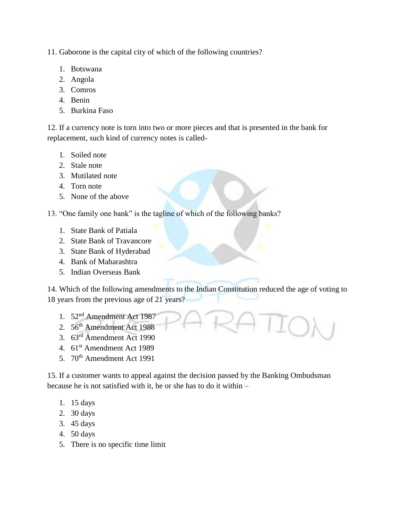11. Gaborone is the capital city of which of the following countries?

- 1. Botswana
- 2. Angola
- 3. Comros
- 4. Benin
- 5. Burkina Faso

12. If a currency note is torn into two or more pieces and that is presented in the bank for replacement, such kind of currency notes is called-

- 1. Soiled note
- 2. Stale note
- 3. Mutilated note
- 4. Torn note
- 5. None of the above

13. "One family one bank" is the tagline of which of the following banks?

- 1. State Bank of Patiala
- 2. State Bank of Travancore
- 3. State Bank of Hyderabad
- 4. Bank of Maharashtra
- 5. Indian Overseas Bank

14. Which of the following amendments to the Indian Constitution reduced the age of voting to 18 years from the previous age of 21 years?

- 1. 52<sup>nd</sup> Amendment Act 1987
- 2. 56<sup>th</sup> Amendment Act 1988
- 3. 63rd Amendment Act 1990
- 4. 61<sup>st</sup> Amendment Act 1989
- 5. 70<sup>th</sup> Amendment Act 1991

15. If a customer wants to appeal against the decision passed by the Banking Ombudsman because he is not satisfied with it, he or she has to do it within –

- 1. 15 days
- 2. 30 days
- 3. 45 days
- 4. 50 days
- 5. There is no specific time limit